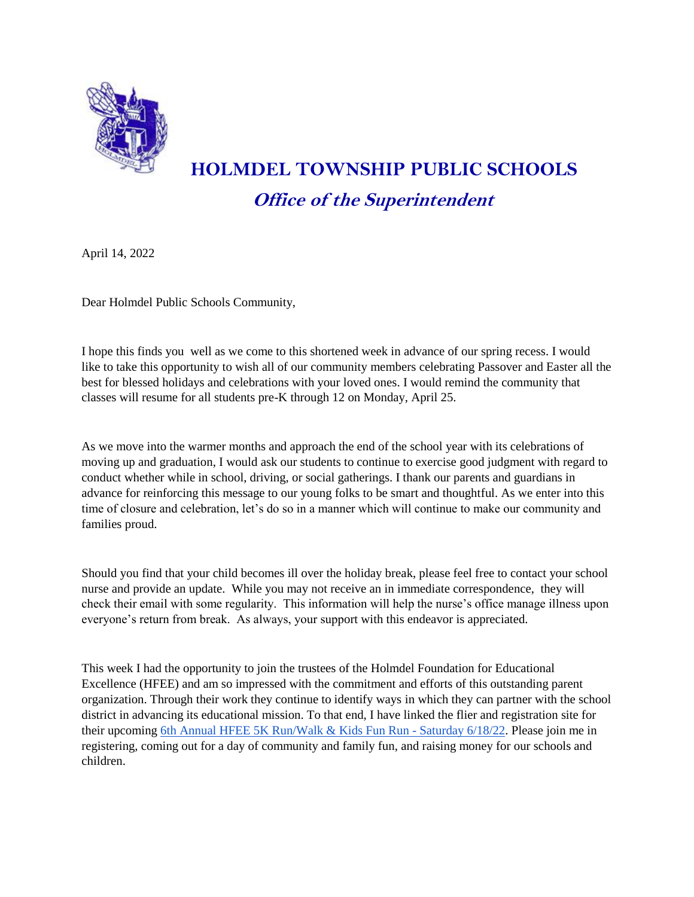

## **HOLMDEL TOWNSHIP PUBLIC SCHOOLS Office of the Superintendent**

April 14, 2022

Dear Holmdel Public Schools Community,

I hope this finds you well as we come to this shortened week in advance of our spring recess. I would like to take this opportunity to wish all of our community members celebrating Passover and Easter all the best for blessed holidays and celebrations with your loved ones. I would remind the community that classes will resume for all students pre-K through 12 on Monday, April 25.

As we move into the warmer months and approach the end of the school year with its celebrations of moving up and graduation, I would ask our students to continue to exercise good judgment with regard to conduct whether while in school, driving, or social gatherings. I thank our parents and guardians in advance for reinforcing this message to our young folks to be smart and thoughtful. As we enter into this time of closure and celebration, let's do so in a manner which will continue to make our community and families proud.

Should you find that your child becomes ill over the holiday break, please feel free to contact your school nurse and provide an update. While you may not receive an in immediate correspondence, they will check their email with some regularity. This information will help the nurse's office manage illness upon everyone's return from break. As always, your support with this endeavor is appreciated.

This week I had the opportunity to join the trustees of the Holmdel Foundation for Educational Excellence (HFEE) and am so impressed with the commitment and efforts of this outstanding parent organization. Through their work they continue to identify ways in which they can partner with the school district in advancing its educational mission. To that end, I have linked the flier and registration site for their upcoming [6th Annual HFEE 5K Run/Walk & Kids Fun Run -](https://drive.google.com/file/d/1l0wNdEbdEtv6-L3XPmUATbIpidLz3Q-m/view?usp=sharing) Saturday 6/18/22. Please join me in registering, coming out for a day of community and family fun, and raising money for our schools and children.